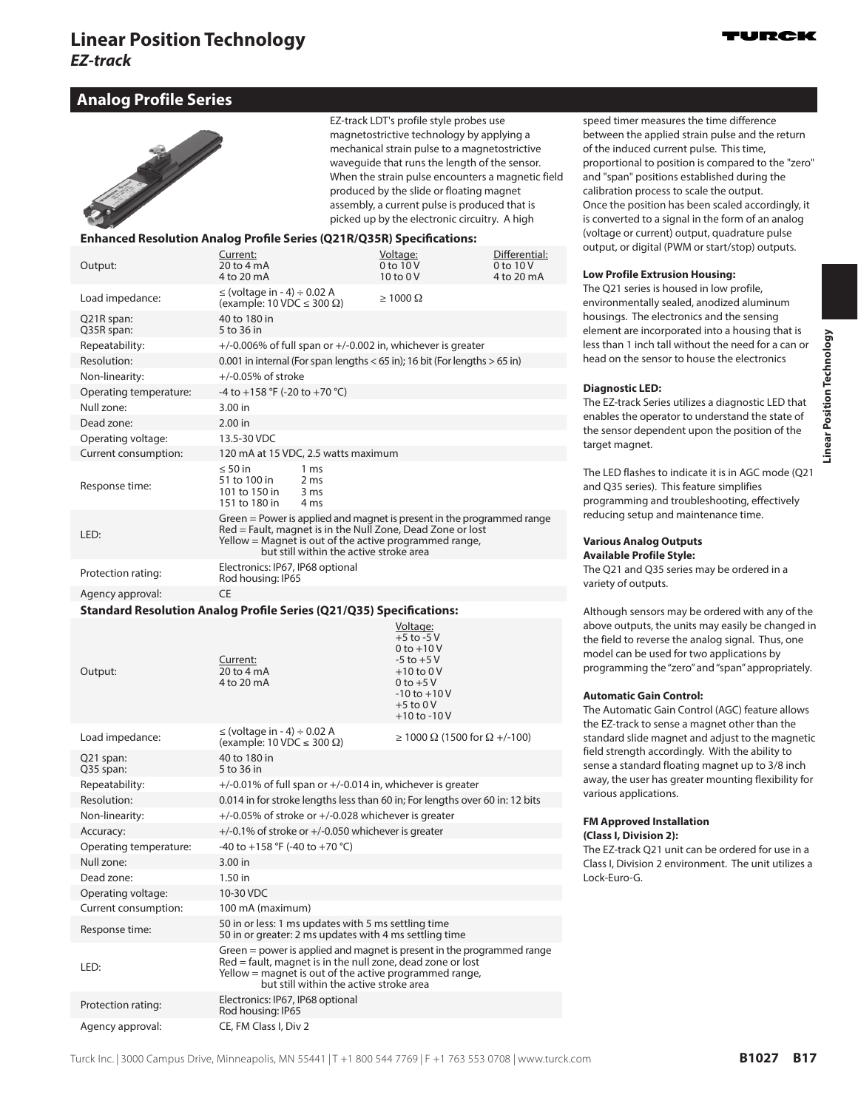# **Analog Profile Series**

|                                                                              |                                                                                |                                                    | EZ-track LDT's profile style probes use<br>magnetostrictive technology by applying a<br>mechanical strain pulse to a magnetostrictive<br>wavequide that runs the length of the sensor.<br>When the strain pulse encounters a magnetic field<br>produced by the slide or floating magnet<br>assembly, a current pulse is produced that is<br>picked up by the electronic circuitry. A high |                                             | speed timer meas<br>between the appli<br>of the induced cui<br>proportional to po<br>and "span" positio<br>calibration proces<br>Once the position<br>is converted to a s |
|------------------------------------------------------------------------------|--------------------------------------------------------------------------------|----------------------------------------------------|-------------------------------------------------------------------------------------------------------------------------------------------------------------------------------------------------------------------------------------------------------------------------------------------------------------------------------------------------------------------------------------------|---------------------------------------------|---------------------------------------------------------------------------------------------------------------------------------------------------------------------------|
| <b>Enhanced Resolution Analog Profile Series (Q21R/Q35R) Specifications:</b> |                                                                                |                                                    |                                                                                                                                                                                                                                                                                                                                                                                           |                                             | (voltage or curren<br>output, or digital (                                                                                                                                |
| Output:                                                                      | Current:<br>20 to 4 mA<br>4 to 20 mA                                           |                                                    | Voltage:<br>$0$ to $10V$<br>$10 \text{ to } 0 \text{ V}$                                                                                                                                                                                                                                                                                                                                  | Differential:<br>$0$ to $10V$<br>4 to 20 mA | <b>Low Profile Extru</b>                                                                                                                                                  |
| Load impedance:                                                              | $\le$ (voltage in - 4) $\div$ 0.02 A<br>(example: 10 VDC $\leq$ 300 $\Omega$ ) |                                                    | $\geq 1000 \Omega$                                                                                                                                                                                                                                                                                                                                                                        |                                             | The O21 series is h<br>environmentally s                                                                                                                                  |
| Q21R span:<br>Q35R span:                                                     | 40 to 180 in<br>5 to 36 in                                                     |                                                    |                                                                                                                                                                                                                                                                                                                                                                                           |                                             | housings. The ele<br>element are incor                                                                                                                                    |
| Repeatability:                                                               |                                                                                |                                                    | $+/-0.006\%$ of full span or $+/-0.002$ in, whichever is greater                                                                                                                                                                                                                                                                                                                          |                                             | less than 1 inch ta                                                                                                                                                       |
| Resolution:                                                                  |                                                                                |                                                    | 0.001 in internal (For span lengths $<$ 65 in); 16 bit (For lengths $>$ 65 in)                                                                                                                                                                                                                                                                                                            |                                             | head on the senso                                                                                                                                                         |
| Non-linearity:                                                               | $+/-0.05%$ of stroke                                                           |                                                    |                                                                                                                                                                                                                                                                                                                                                                                           |                                             |                                                                                                                                                                           |
| Operating temperature:                                                       | -4 to +158 °F (-20 to +70 °C)                                                  |                                                    |                                                                                                                                                                                                                                                                                                                                                                                           |                                             | <b>Diagnostic LED:</b>                                                                                                                                                    |
| Null zone:                                                                   | 3.00 in                                                                        |                                                    |                                                                                                                                                                                                                                                                                                                                                                                           |                                             | The EZ-track Serie                                                                                                                                                        |
| Dead zone:                                                                   | $2.00$ in                                                                      |                                                    |                                                                                                                                                                                                                                                                                                                                                                                           |                                             | enables the opera<br>the sensor depen                                                                                                                                     |
| Operating voltage:                                                           | 13.5-30 VDC                                                                    |                                                    |                                                                                                                                                                                                                                                                                                                                                                                           |                                             | target magnet.                                                                                                                                                            |
| Current consumption:                                                         | 120 mA at 15 VDC, 2.5 watts maximum                                            |                                                    |                                                                                                                                                                                                                                                                                                                                                                                           |                                             |                                                                                                                                                                           |
| Response time:                                                               | $\leq 50$ in<br>51 to 100 in<br>101 to 150 in<br>151 to 180 in                 | 1 <sub>ms</sub><br>2 <sub>ms</sub><br>3 ms<br>4 ms |                                                                                                                                                                                                                                                                                                                                                                                           |                                             | The LED flashes to<br>and Q35 series). T<br>programming and                                                                                                               |
| LED:                                                                         |                                                                                | but still within the active stroke area            | Green = Power is applied and magnet is present in the programmed range<br>Red = Fault, magnet is in the Null Zone, Dead Zone or lost<br>Yellow = Magnet is out of the active programmed range,                                                                                                                                                                                            |                                             | reducing setup an<br><b>Various Analog C</b><br><b>Available Profile</b>                                                                                                  |
| Protection rating:                                                           | Electronics: IP67, IP68 optional<br>Rod housing: IP65                          |                                                    |                                                                                                                                                                                                                                                                                                                                                                                           |                                             | The O21 and O35<br>variety of outputs                                                                                                                                     |
| Agency approval:                                                             | CE                                                                             |                                                    |                                                                                                                                                                                                                                                                                                                                                                                           |                                             |                                                                                                                                                                           |
| <b>Standard Resolution Analog Profile Series (Q21/Q35) Specifications:</b>   |                                                                                |                                                    |                                                                                                                                                                                                                                                                                                                                                                                           |                                             | Although sensors                                                                                                                                                          |
|                                                                              |                                                                                |                                                    | $16$ $\frac{1}{2}$                                                                                                                                                                                                                                                                                                                                                                        |                                             | above outpute the                                                                                                                                                         |

Output: Current: 20 to 4 mA 4 to 20 mA Voltage: +5 to -5 V 0 to +10 V  $-5$  to  $+5$  V +10 to 0 V 0 to +5 V -10 to +10 V +5 to 0 V +10 to -10 V Load impedance:  $\leq (\text{voltage in - 4}) \div 0.02 \text{ A}$  $\le$  (voitage in - 4) ÷ 0.02 A<br>(example: 10 VDC ≤ 300 Ω)  $\ge$  1000 Ω (1500 for Ω +/-100) Q21 span: Q35 span: 40 to 180 in 5 to 36 in Repeatability:  $+/-0.01\%$  of full span or  $+/-0.014$  in, whichever is greater Resolution: 0.014 in for stroke lengths less than 60 in; For lengths over 60 in: 12 bits Non-linearity:  $+/-0.05\%$  of stroke or  $+/-0.028$  whichever is greater Accuracy:  $+/-0.1\%$  of stroke or  $+/-0.050$  whichever is greater Operating temperature:  $-40$  to +158 °F (-40 to +70 °C) Null zone: 3.00 in Dead zone: 1.50 in Operating voltage: 10-30 VDC Current consumption: 100 mA (maximum) Response time:<br>
Fo in or greater: 2 ms updates with 5 ms settling time<br>
Fo in or greater: 2 ms updates with 4 ms settling time 50 in or greater: 2 ms updates with 4 ms settling time LED: Green = power is applied and magnet is present in the programmed range Red = fault, magnet is in the null zone, dead zone or lost Yellow = magnet is out of the active programmed range, but still within the active stroke area Protection rating: Electronics: IP67, IP68 optional Rod housing: IP65 Agency approval: CE, FM Class I, Div 2

ures the time difference ied strain pulse and the return rrent pulse. This time, psition is compared to the "zero" ns established during the s to scale the output. has been scaled accordingly, it ignal in the form of an analog t) output, quadrature pulse (PWM or start/stop) outputs.

### **Low Profile Extrusion Housing:**

oused in low profile, ealed, anodized aluminum ctronics and the sensing porated into a housing that is Il without the need for a can or or to house the electronics

s utilizes a diagnostic LED that tor to understand the state of dent upon the position of the

indicate it is in AGC mode (Q21 his feature simplifies<sup>.</sup> d troubleshooting, effectively rd maintenance time.

#### **Validats Style:**

series may be ordered in a variety of outputs.

may be ordered with any of the above outputs, the units may easily be changed in the field to reverse the analog signal. Thus, one model can be used for two applications by programming the "zero" and "span" appropriately.

#### **Automatic Gain Control:**

The Automatic Gain Control (AGC) feature allows the EZ-track to sense a magnet other than the standard slide magnet and adjust to the magnetic field strength accordingly. With the ability to sense a standard floating magnet up to 3/8 inch away, the user has greater mounting flexibility for various applications.

#### **FM Approved Installation (Class I, Division 2):**

The EZ-track Q21 unit can be ordered for use in a Class I, Division 2 environment. The unit utilizes a Lock-Euro-G.